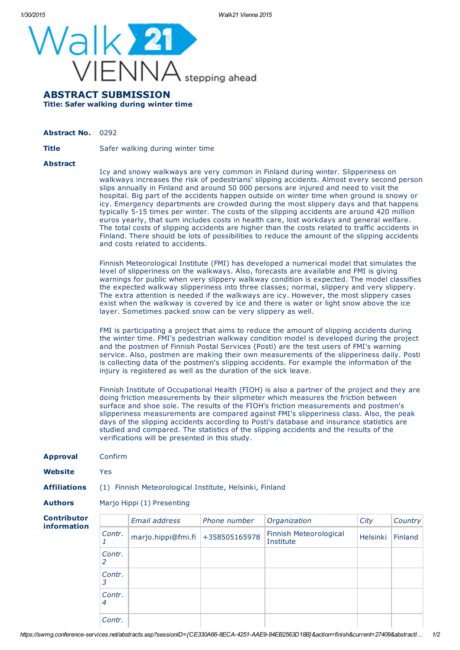## ABSTRACT SUBMISSION Title: Safer walking during winter time

Abstract No. 0292

**Title** Safer walking during winter time

## **Abstract**

Icy and snowy walkways are very common in Finland during winter. Slipperiness on walkways increases the risk of pedestrians' slipping accidents. Almost every second person slips annually in Finland and around 50 000 persons are injured and need to visit the hospital. Big part of the accidents happen outside on winter time when ground is snowy or icy. Emergency departments are crowded during the most slippery days and that happens typically 5-15 times per winter. The costs of the slipping accidents are around 420 million euros yearly, that sum includes costs in health care, lost workdays and general welfare. The total costs of slipping accidents are higher than the costs related to traffic accidents in Finland. There should be lots of possibilities to reduce the amount of the slipping accidents and costs related to accidents.

Finnish Meteorological Institute (FMI) has developed a numerical model that simulates the level of slipperiness on the walkways. Also, forecasts are available and FMI is giving warnings for public when very slippery walkway condition is expected. The model classifies the expected walkway slipperiness into three classes; normal, slippery and very slippery. The extra attention is needed if the walkways are icy. However, the most slippery cases exist when the walkway is covered by ice and there is water or light snow above the ice layer. Sometimes packed snow can be very slippery as well.

FMI is participating a project that aims to reduce the amount of slipping accidents during the winter time. FMI's pedestrian walkway condition model is developed during the project and the postmen of Finnish Postal Services (Posti) are the test users of FMI's warning service. Also, postmen are making their own measurements of the slipperiness daily. Posti is collecting data of the postmen's slipping accidents. For example the information of the injury is registered as well as the duration of the sick leave.

Finnish Institute of Occupational Health (FIOH) is also a partner of the project and they are doing friction measurements by their slipmeter which measures the friction between surface and shoe sole. The results of the FIOH's friction measurements and postmen's slipperiness measurements are compared against FMI's slipperiness class. Also, the peak days of the slipping accidents according to Posti's database and insurance statistics are studied and compared. The statistics of the slipping accidents and the results of the verifications will be presented in this study.

| <b>Approval</b>                   | Confirm                                                 |                                  |              |                                     |                 |         |  |  |  |
|-----------------------------------|---------------------------------------------------------|----------------------------------|--------------|-------------------------------------|-----------------|---------|--|--|--|
| Website                           | Yes                                                     |                                  |              |                                     |                 |         |  |  |  |
| <b>Affiliations</b>               | (1) Finnish Meteorological Institute, Helsinki, Finland |                                  |              |                                     |                 |         |  |  |  |
| <b>Authors</b>                    | Marjo Hippi (1) Presenting                              |                                  |              |                                     |                 |         |  |  |  |
| <b>Contributor</b><br>information |                                                         | Email address                    | Phone number | Organization                        | City            | Country |  |  |  |
|                                   | Contr.                                                  | marjo.hippi@fmi.fi +358505165978 |              | Finnish Meteorological<br>Institute | <b>Helsinki</b> | Finland |  |  |  |

*Contr. 2*

*Contr. 3*

*Contr. 4*

*Contr.*